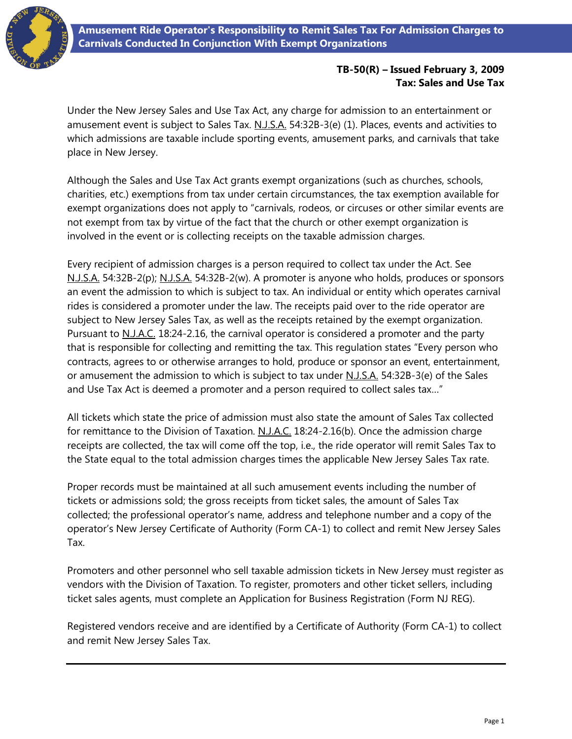

## **TB-50(R) – Issued February 3, 2009 Tax: Sales and Use Tax**

Under the New Jersey Sales and Use Tax Act, any charge for admission to an entertainment or amusement event is subject to Sales Tax. N.J.S.A. 54:32B-3(e) (1). Places, events and activities to which admissions are taxable include sporting events, amusement parks, and carnivals that take place in New Jersey.

Although the Sales and Use Tax Act grants exempt organizations (such as churches, schools, charities, etc.) exemptions from tax under certain circumstances, the tax exemption available for exempt organizations does not apply to "carnivals, rodeos, or circuses or other similar events are not exempt from tax by virtue of the fact that the church or other exempt organization is involved in the event or is collecting receipts on the taxable admission charges.

Every recipient of admission charges is a person required to collect tax under the Act. See N.J.S.A. 54:32B-2(p); N.J.S.A. 54:32B-2(w). A promoter is anyone who holds, produces or sponsors an event the admission to which is subject to tax. An individual or entity which operates carnival rides is considered a promoter under the law. The receipts paid over to the ride operator are subject to New Jersey Sales Tax, as well as the receipts retained by the exempt organization. Pursuant to N.J.A.C. 18:24-2.16, the carnival operator is considered a promoter and the party that is responsible for collecting and remitting the tax. This regulation states "Every person who contracts, agrees to or otherwise arranges to hold, produce or sponsor an event, entertainment, or amusement the admission to which is subject to tax under N.J.S.A. 54:32B-3(e) of the Sales and Use Tax Act is deemed a promoter and a person required to collect sales tax…"

All tickets which state the price of admission must also state the amount of Sales Tax collected for remittance to the Division of Taxation. N.J.A.C. 18:24-2.16(b). Once the admission charge receipts are collected, the tax will come off the top, i.e., the ride operator will remit Sales Tax to the State equal to the total admission charges times the applicable New Jersey Sales Tax rate.

Proper records must be maintained at all such amusement events including the number of tickets or admissions sold; the gross receipts from ticket sales, the amount of Sales Tax collected; the professional operator's name, address and telephone number and a copy of the operator's New Jersey Certificate of Authority (Form CA-1) to collect and remit New Jersey Sales Tax.

Promoters and other personnel who sell taxable admission tickets in New Jersey must register as vendors with the Division of Taxation. To register, promoters and other ticket sellers, including ticket sales agents, must complete an Application for Business Registration (Form NJ REG).

Registered vendors receive and are identified by a Certificate of Authority (Form CA-1) to collect and remit New Jersey Sales Tax.